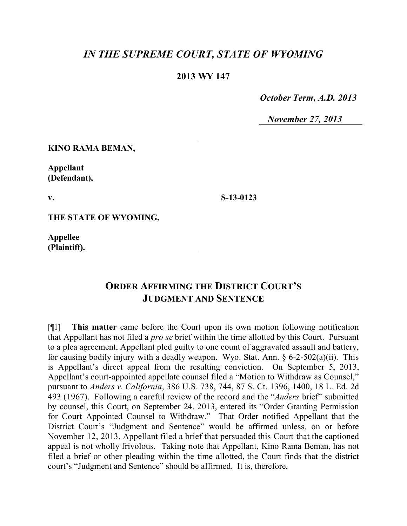# *IN THE SUPREME COURT, STATE OF WYOMING*

### **2013 WY 147**

 *October Term, A.D. 2013*

 *November 27, 2013*

#### **KINO RAMA BEMAN,**

**Appellant (Defendant),**

**v.**

**S-13-0123**

**THE STATE OF WYOMING,**

**Appellee (Plaintiff).**

# **ORDER AFFIRMING THE DISTRICT COURT'S JUDGMENT AND SENTENCE**

[¶1] **This matter** came before the Court upon its own motion following notification that Appellant has not filed a *pro se* brief within the time allotted by this Court. Pursuant to a plea agreement, Appellant pled guilty to one count of aggravated assault and battery, for causing bodily injury with a deadly weapon. Wyo. Stat. Ann.  $\S 6$ -2-502(a)(ii). This is Appellant's direct appeal from the resulting conviction. On September 5, 2013, Appellant's court-appointed appellate counsel filed a "Motion to Withdraw as Counsel," pursuant to *Anders v. California*, 386 U.S. 738, 744, 87 S. Ct. 1396, 1400, 18 L. Ed. 2d 493 (1967). Following a careful review of the record and the "*Anders* brief" submitted by counsel, this Court, on September 24, 2013, entered its "Order Granting Permission for Court Appointed Counsel to Withdraw." That Order notified Appellant that the District Court's "Judgment and Sentence" would be affirmed unless, on or before November 12, 2013, Appellant filed a brief that persuaded this Court that the captioned appeal is not wholly frivolous. Taking note that Appellant, Kino Rama Beman, has not filed a brief or other pleading within the time allotted, the Court finds that the district court's "Judgment and Sentence" should be affirmed. It is, therefore,